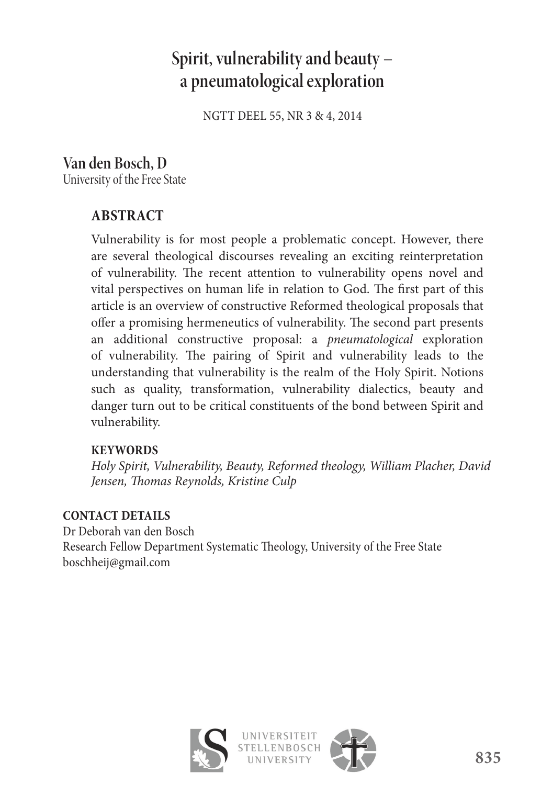# **Spirit, vulnerability and beauty – a pneumatological exploration**

NGTT DEEL 55, NR 3 & 4, 2014

# **Van den Bosch, D**

University of the Free State

# **ABSTRACT**

Vulnerability is for most people a problematic concept. However, there are several theological discourses revealing an exciting reinterpretation of vulnerability. The recent attention to vulnerability opens novel and vital perspectives on human life in relation to God. The first part of this article is an overview of constructive Reformed theological proposals that offer a promising hermeneutics of vulnerability. The second part presents an additional constructive proposal: a *pneumatological* exploration of vulnerability. The pairing of Spirit and vulnerability leads to the understanding that vulnerability is the realm of the Holy Spirit. Notions such as quality, transformation, vulnerability dialectics, beauty and danger turn out to be critical constituents of the bond between Spirit and vulnerability.

## **KEYWORDS**

*Holy Spirit, Vulnerability, Beauty, Reformed theology, William Placher, David Jensen, Thomas Reynolds, Kristine Culp* 

## **CONTACT DETAILS**

Dr Deborah van den Bosch Research Fellow Department Systematic Theology, University of the Free State boschheij@gmail.com



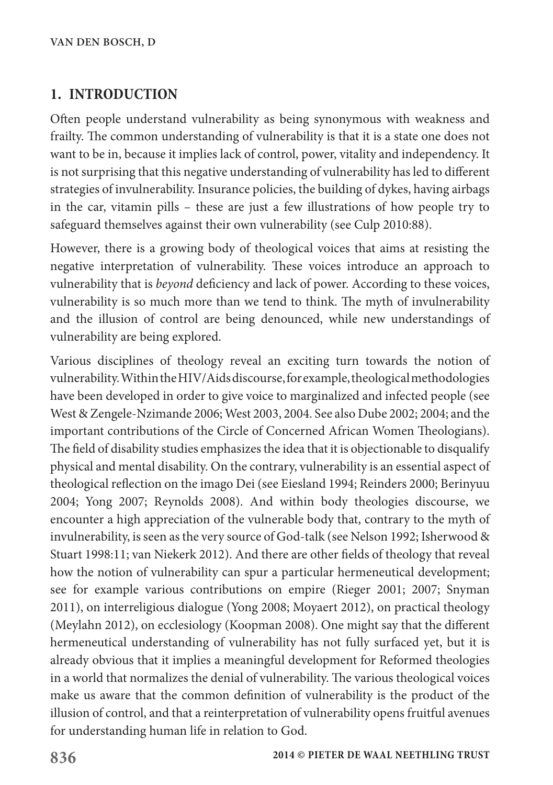## **1. INTRODUCTION**

Often people understand vulnerability as being synonymous with weakness and frailty. The common understanding of vulnerability is that it is a state one does not want to be in, because it implies lack of control, power, vitality and independency. It is not surprising that this negative understanding of vulnerability has led to different strategies of invulnerability. Insurance policies, the building of dykes, having airbags in the car, vitamin pills – these are just a few illustrations of how people try to safeguard themselves against their own vulnerability (see Culp 2010:88).

However, there is a growing body of theological voices that aims at resisting the negative interpretation of vulnerability. These voices introduce an approach to vulnerability that is *beyond* deficiency and lack of power. According to these voices, vulnerability is so much more than we tend to think. The myth of invulnerability and the illusion of control are being denounced, while new understandings of vulnerability are being explored.

Various disciplines of theology reveal an exciting turn towards the notion of vulnerability. Within the HIV/Aids discourse, for example, theological methodologies have been developed in order to give voice to marginalized and infected people (see West & Zengele-Nzimande 2006; West 2003, 2004. See also Dube 2002; 2004; and the important contributions of the Circle of Concerned African Women Theologians). The field of disability studies emphasizes the idea that it is objectionable to disqualify physical and mental disability. On the contrary, vulnerability is an essential aspect of theological reflection on the imago Dei (see Eiesland 1994; Reinders 2000; Berinyuu 2004; Yong 2007; Reynolds 2008). And within body theologies discourse, we encounter a high appreciation of the vulnerable body that, contrary to the myth of invulnerability, is seen as the very source of God-talk (see Nelson 1992; Isherwood & Stuart 1998:11; van Niekerk 2012). And there are other fields of theology that reveal how the notion of vulnerability can spur a particular hermeneutical development; see for example various contributions on empire (Rieger 2001; 2007; Snyman 2011), on interreligious dialogue (Yong 2008; Moyaert 2012), on practical theology (Meylahn 2012), on ecclesiology (Koopman 2008). One might say that the different hermeneutical understanding of vulnerability has not fully surfaced yet, but it is already obvious that it implies a meaningful development for Reformed theologies in a world that normalizes the denial of vulnerability. The various theological voices make us aware that the common definition of vulnerability is the product of the illusion of control, and that a reinterpretation of vulnerability opens fruitful avenues for understanding human life in relation to God.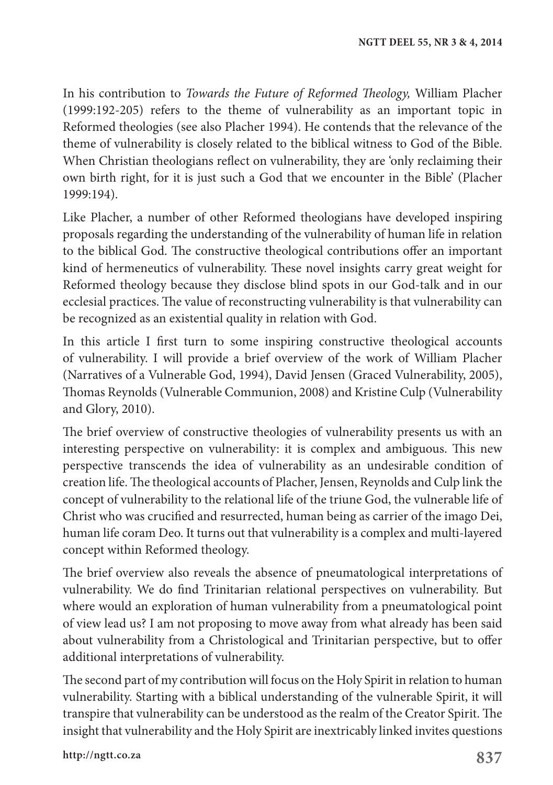In his contribution to *Towards the Future of Reformed Theology,* William Placher (1999:192-205) refers to the theme of vulnerability as an important topic in Reformed theologies (see also Placher 1994). He contends that the relevance of the theme of vulnerability is closely related to the biblical witness to God of the Bible. When Christian theologians reflect on vulnerability, they are 'only reclaiming their own birth right, for it is just such a God that we encounter in the Bible' (Placher 1999:194).

Like Placher, a number of other Reformed theologians have developed inspiring proposals regarding the understanding of the vulnerability of human life in relation to the biblical God. The constructive theological contributions offer an important kind of hermeneutics of vulnerability. These novel insights carry great weight for Reformed theology because they disclose blind spots in our God-talk and in our ecclesial practices. The value of reconstructing vulnerability is that vulnerability can be recognized as an existential quality in relation with God.

In this article I first turn to some inspiring constructive theological accounts of vulnerability. I will provide a brief overview of the work of William Placher (Narratives of a Vulnerable God, 1994), David Jensen (Graced Vulnerability, 2005), Thomas Reynolds (Vulnerable Communion, 2008) and Kristine Culp (Vulnerability and Glory, 2010).

The brief overview of constructive theologies of vulnerability presents us with an interesting perspective on vulnerability: it is complex and ambiguous. This new perspective transcends the idea of vulnerability as an undesirable condition of creation life. The theological accounts of Placher, Jensen, Reynolds and Culp link the concept of vulnerability to the relational life of the triune God, the vulnerable life of Christ who was crucified and resurrected, human being as carrier of the imago Dei, human life coram Deo. It turns out that vulnerability is a complex and multi-layered concept within Reformed theology.

The brief overview also reveals the absence of pneumatological interpretations of vulnerability. We do find Trinitarian relational perspectives on vulnerability. But where would an exploration of human vulnerability from a pneumatological point of view lead us? I am not proposing to move away from what already has been said about vulnerability from a Christological and Trinitarian perspective, but to offer additional interpretations of vulnerability.

The second part of my contribution will focus on the Holy Spirit in relation to human vulnerability. Starting with a biblical understanding of the vulnerable Spirit, it will transpire that vulnerability can be understood as the realm of the Creator Spirit. The insight that vulnerability and the Holy Spirit are inextricably linked invites questions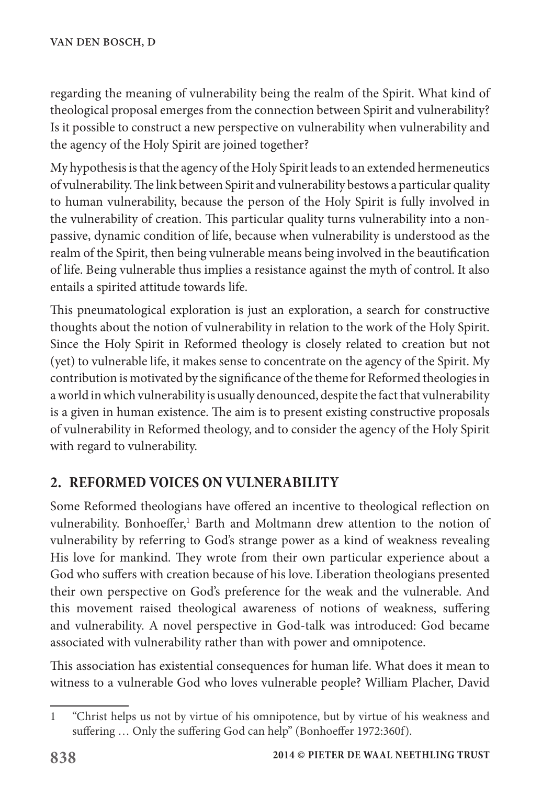regarding the meaning of vulnerability being the realm of the Spirit. What kind of theological proposal emerges from the connection between Spirit and vulnerability? Is it possible to construct a new perspective on vulnerability when vulnerability and the agency of the Holy Spirit are joined together?

My hypothesis is that the agency of the Holy Spirit leads to an extended hermeneutics of vulnerability. The link between Spirit and vulnerability bestows a particular quality to human vulnerability, because the person of the Holy Spirit is fully involved in the vulnerability of creation. This particular quality turns vulnerability into a nonpassive, dynamic condition of life, because when vulnerability is understood as the realm of the Spirit, then being vulnerable means being involved in the beautification of life. Being vulnerable thus implies a resistance against the myth of control. It also entails a spirited attitude towards life.

This pneumatological exploration is just an exploration, a search for constructive thoughts about the notion of vulnerability in relation to the work of the Holy Spirit. Since the Holy Spirit in Reformed theology is closely related to creation but not (yet) to vulnerable life, it makes sense to concentrate on the agency of the Spirit. My contribution is motivated by the significance of the theme for Reformed theologies in a world in which vulnerability is usually denounced, despite the fact that vulnerability is a given in human existence. The aim is to present existing constructive proposals of vulnerability in Reformed theology, and to consider the agency of the Holy Spirit with regard to vulnerability.

# **2. REFORMED VOICES ON VULNERABILITY**

Some Reformed theologians have offered an incentive to theological reflection on vulnerability. Bonhoeffer,<sup>1</sup> Barth and Moltmann drew attention to the notion of vulnerability by referring to God's strange power as a kind of weakness revealing His love for mankind. They wrote from their own particular experience about a God who suffers with creation because of his love. Liberation theologians presented their own perspective on God's preference for the weak and the vulnerable. And this movement raised theological awareness of notions of weakness, suffering and vulnerability. A novel perspective in God-talk was introduced: God became associated with vulnerability rather than with power and omnipotence.

This association has existential consequences for human life. What does it mean to witness to a vulnerable God who loves vulnerable people? William Placher, David

<sup>1</sup> "Christ helps us not by virtue of his omnipotence, but by virtue of his weakness and suffering ... Only the suffering God can help" (Bonhoeffer 1972:360f).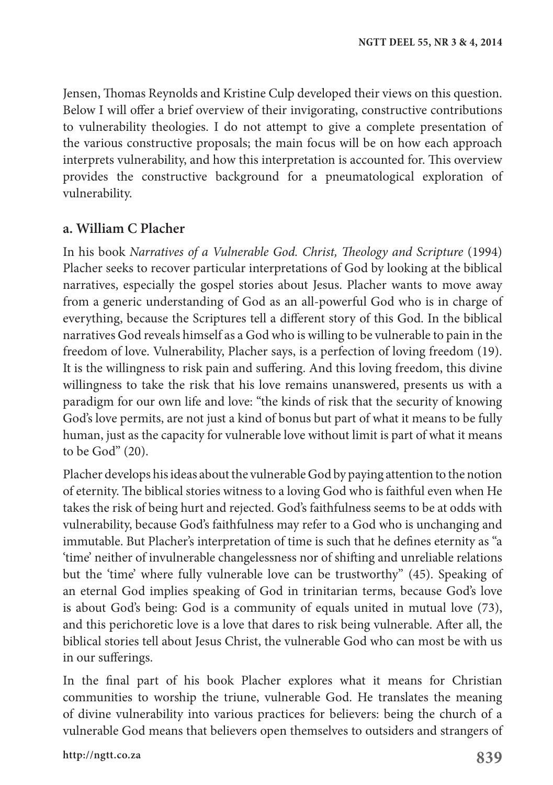Jensen, Thomas Reynolds and Kristine Culp developed their views on this question. Below I will offer a brief overview of their invigorating, constructive contributions to vulnerability theologies. I do not attempt to give a complete presentation of the various constructive proposals; the main focus will be on how each approach interprets vulnerability, and how this interpretation is accounted for. This overview provides the constructive background for a pneumatological exploration of vulnerability.

#### **a. William C Placher**

In his book *Narratives of a Vulnerable God. Christ, Theology and Scripture* (1994) Placher seeks to recover particular interpretations of God by looking at the biblical narratives, especially the gospel stories about Jesus. Placher wants to move away from a generic understanding of God as an all-powerful God who is in charge of everything, because the Scriptures tell a different story of this God. In the biblical narratives God reveals himself as a God who is willing to be vulnerable to pain in the freedom of love. Vulnerability, Placher says, is a perfection of loving freedom (19). It is the willingness to risk pain and suffering. And this loving freedom, this divine willingness to take the risk that his love remains unanswered, presents us with a paradigm for our own life and love: "the kinds of risk that the security of knowing God's love permits, are not just a kind of bonus but part of what it means to be fully human, just as the capacity for vulnerable love without limit is part of what it means to be God" (20).

Placher develops his ideas about the vulnerable God by paying attention to the notion of eternity. The biblical stories witness to a loving God who is faithful even when He takes the risk of being hurt and rejected. God's faithfulness seems to be at odds with vulnerability, because God's faithfulness may refer to a God who is unchanging and immutable. But Placher's interpretation of time is such that he defines eternity as "a 'time' neither of invulnerable changelessness nor of shifting and unreliable relations but the 'time' where fully vulnerable love can be trustworthy" (45). Speaking of an eternal God implies speaking of God in trinitarian terms, because God's love is about God's being: God is a community of equals united in mutual love (73), and this perichoretic love is a love that dares to risk being vulnerable. After all, the biblical stories tell about Jesus Christ, the vulnerable God who can most be with us in our sufferings.

In the final part of his book Placher explores what it means for Christian communities to worship the triune, vulnerable God. He translates the meaning of divine vulnerability into various practices for believers: being the church of a vulnerable God means that believers open themselves to outsiders and strangers of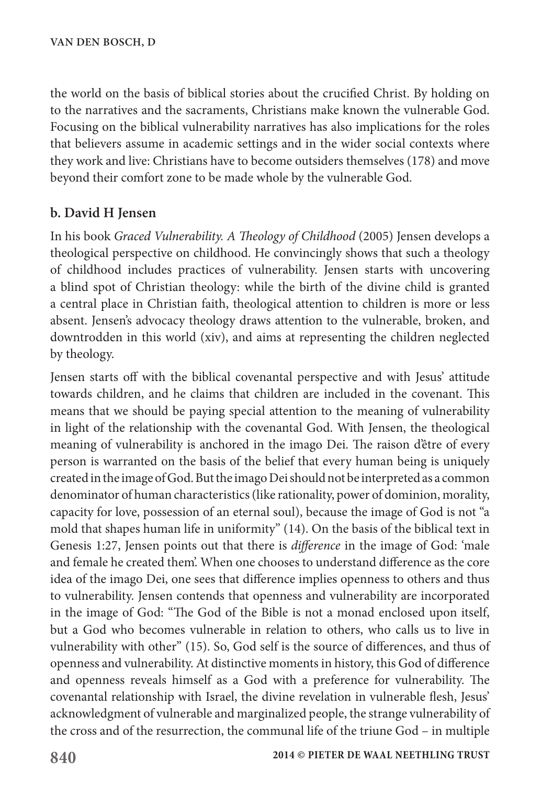the world on the basis of biblical stories about the crucified Christ. By holding on to the narratives and the sacraments, Christians make known the vulnerable God. Focusing on the biblical vulnerability narratives has also implications for the roles that believers assume in academic settings and in the wider social contexts where they work and live: Christians have to become outsiders themselves (178) and move beyond their comfort zone to be made whole by the vulnerable God.

### **b. David H Jensen**

In his book *Graced Vulnerability. A Theology of Childhood* (2005) Jensen develops a theological perspective on childhood. He convincingly shows that such a theology of childhood includes practices of vulnerability. Jensen starts with uncovering a blind spot of Christian theology: while the birth of the divine child is granted a central place in Christian faith, theological attention to children is more or less absent. Jensen's advocacy theology draws attention to the vulnerable, broken, and downtrodden in this world (xiv), and aims at representing the children neglected by theology.

Jensen starts off with the biblical covenantal perspective and with Jesus' attitude towards children, and he claims that children are included in the covenant. This means that we should be paying special attention to the meaning of vulnerability in light of the relationship with the covenantal God. With Jensen, the theological meaning of vulnerability is anchored in the imago Dei. The raison d'être of every person is warranted on the basis of the belief that every human being is uniquely created in the image of God. But the imago Dei should not be interpreted as a common denominator of human characteristics (like rationality, power of dominion, morality, capacity for love, possession of an eternal soul), because the image of God is not "a mold that shapes human life in uniformity" (14). On the basis of the biblical text in Genesis 1:27, Jensen points out that there is *difference* in the image of God: 'male and female he created them'. When one chooses to understand difference as the core idea of the imago Dei, one sees that difference implies openness to others and thus to vulnerability. Jensen contends that openness and vulnerability are incorporated in the image of God: "The God of the Bible is not a monad enclosed upon itself, but a God who becomes vulnerable in relation to others, who calls us to live in vulnerability with other" (15). So, God self is the source of differences, and thus of openness and vulnerability. At distinctive moments in history, this God of difference and openness reveals himself as a God with a preference for vulnerability. The covenantal relationship with Israel, the divine revelation in vulnerable flesh, Jesus' acknowledgment of vulnerable and marginalized people, the strange vulnerability of the cross and of the resurrection, the communal life of the triune God – in multiple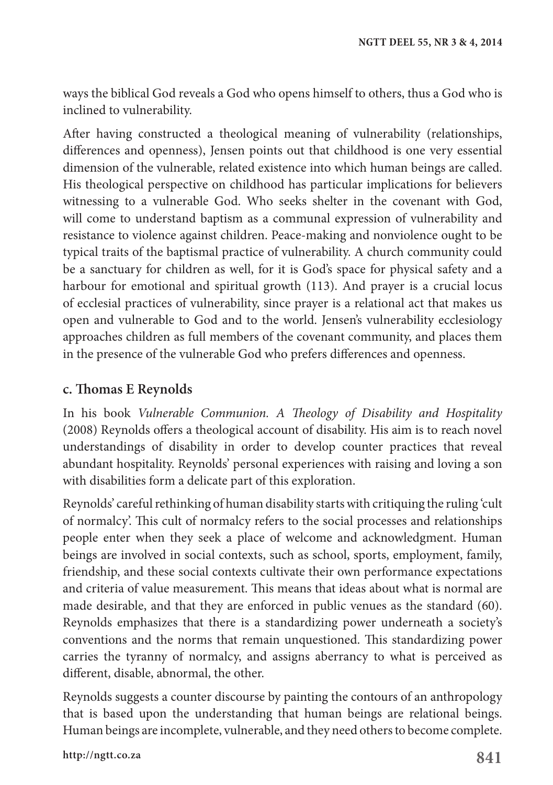ways the biblical God reveals a God who opens himself to others, thus a God who is inclined to vulnerability.

After having constructed a theological meaning of vulnerability (relationships, differences and openness), Jensen points out that childhood is one very essential dimension of the vulnerable, related existence into which human beings are called. His theological perspective on childhood has particular implications for believers witnessing to a vulnerable God. Who seeks shelter in the covenant with God, will come to understand baptism as a communal expression of vulnerability and resistance to violence against children. Peace-making and nonviolence ought to be typical traits of the baptismal practice of vulnerability. A church community could be a sanctuary for children as well, for it is God's space for physical safety and a harbour for emotional and spiritual growth (113). And prayer is a crucial locus of ecclesial practices of vulnerability, since prayer is a relational act that makes us open and vulnerable to God and to the world. Jensen's vulnerability ecclesiology approaches children as full members of the covenant community, and places them in the presence of the vulnerable God who prefers differences and openness.

#### **c. Thomas E Reynolds**

In his book *Vulnerable Communion. A Theology of Disability and Hospitality* (2008) Reynolds offers a theological account of disability. His aim is to reach novel understandings of disability in order to develop counter practices that reveal abundant hospitality. Reynolds' personal experiences with raising and loving a son with disabilities form a delicate part of this exploration.

Reynolds' careful rethinking of human disability starts with critiquing the ruling 'cult of normalcy'. This cult of normalcy refers to the social processes and relationships people enter when they seek a place of welcome and acknowledgment. Human beings are involved in social contexts, such as school, sports, employment, family, friendship, and these social contexts cultivate their own performance expectations and criteria of value measurement. This means that ideas about what is normal are made desirable, and that they are enforced in public venues as the standard (60). Reynolds emphasizes that there is a standardizing power underneath a society's conventions and the norms that remain unquestioned. This standardizing power carries the tyranny of normalcy, and assigns aberrancy to what is perceived as different, disable, abnormal, the other.

Reynolds suggests a counter discourse by painting the contours of an anthropology that is based upon the understanding that human beings are relational beings. Human beings are incomplete, vulnerable, and they need others to become complete.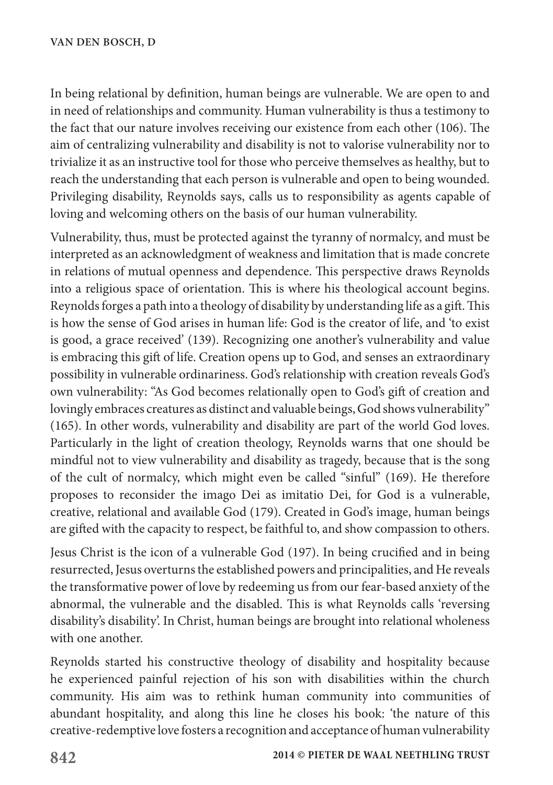In being relational by definition, human beings are vulnerable. We are open to and in need of relationships and community. Human vulnerability is thus a testimony to the fact that our nature involves receiving our existence from each other (106). The aim of centralizing vulnerability and disability is not to valorise vulnerability nor to trivialize it as an instructive tool for those who perceive themselves as healthy, but to reach the understanding that each person is vulnerable and open to being wounded. Privileging disability, Reynolds says, calls us to responsibility as agents capable of loving and welcoming others on the basis of our human vulnerability.

Vulnerability, thus, must be protected against the tyranny of normalcy, and must be interpreted as an acknowledgment of weakness and limitation that is made concrete in relations of mutual openness and dependence. This perspective draws Reynolds into a religious space of orientation. This is where his theological account begins. Reynolds forges a path into a theology of disability by understanding life as a gift. This is how the sense of God arises in human life: God is the creator of life, and 'to exist is good, a grace received' (139). Recognizing one another's vulnerability and value is embracing this gift of life. Creation opens up to God, and senses an extraordinary possibility in vulnerable ordinariness. God's relationship with creation reveals God's own vulnerability: "As God becomes relationally open to God's gift of creation and lovingly embraces creatures as distinct and valuable beings, God shows vulnerability" (165). In other words, vulnerability and disability are part of the world God loves. Particularly in the light of creation theology, Reynolds warns that one should be mindful not to view vulnerability and disability as tragedy, because that is the song of the cult of normalcy, which might even be called "sinful" (169). He therefore proposes to reconsider the imago Dei as imitatio Dei, for God is a vulnerable, creative, relational and available God (179). Created in God's image, human beings are gifted with the capacity to respect, be faithful to, and show compassion to others.

Jesus Christ is the icon of a vulnerable God (197). In being crucified and in being resurrected, Jesus overturns the established powers and principalities, and He reveals the transformative power of love by redeeming us from our fear-based anxiety of the abnormal, the vulnerable and the disabled. This is what Reynolds calls 'reversing disability's disability'. In Christ, human beings are brought into relational wholeness with one another.

Reynolds started his constructive theology of disability and hospitality because he experienced painful rejection of his son with disabilities within the church community. His aim was to rethink human community into communities of abundant hospitality, and along this line he closes his book: 'the nature of this creative-redemptive love fosters a recognition and acceptance of human vulnerability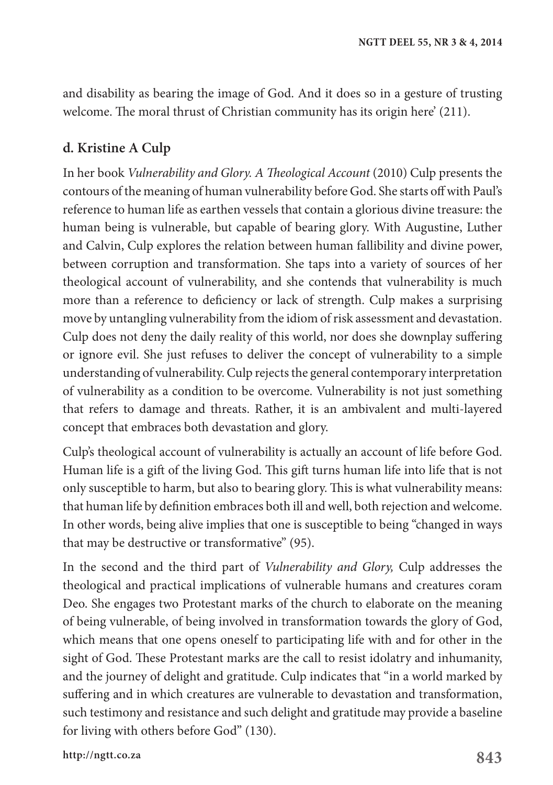and disability as bearing the image of God. And it does so in a gesture of trusting welcome. The moral thrust of Christian community has its origin here' (211).

#### **d. Kristine A Culp**

In her book *Vulnerability and Glory. A Theological Account* (2010) Culp presents the contours of the meaning of human vulnerability before God. She starts off with Paul's reference to human life as earthen vessels that contain a glorious divine treasure: the human being is vulnerable, but capable of bearing glory. With Augustine, Luther and Calvin, Culp explores the relation between human fallibility and divine power, between corruption and transformation. She taps into a variety of sources of her theological account of vulnerability, and she contends that vulnerability is much more than a reference to deficiency or lack of strength. Culp makes a surprising move by untangling vulnerability from the idiom of risk assessment and devastation. Culp does not deny the daily reality of this world, nor does she downplay suffering or ignore evil. She just refuses to deliver the concept of vulnerability to a simple understanding of vulnerability. Culp rejects the general contemporary interpretation of vulnerability as a condition to be overcome. Vulnerability is not just something that refers to damage and threats. Rather, it is an ambivalent and multi-layered concept that embraces both devastation and glory.

Culp's theological account of vulnerability is actually an account of life before God. Human life is a gift of the living God. This gift turns human life into life that is not only susceptible to harm, but also to bearing glory. This is what vulnerability means: that human life by definition embraces both ill and well, both rejection and welcome. In other words, being alive implies that one is susceptible to being "changed in ways that may be destructive or transformative" (95).

In the second and the third part of *Vulnerability and Glory,* Culp addresses the theological and practical implications of vulnerable humans and creatures coram Deo. She engages two Protestant marks of the church to elaborate on the meaning of being vulnerable, of being involved in transformation towards the glory of God, which means that one opens oneself to participating life with and for other in the sight of God. These Protestant marks are the call to resist idolatry and inhumanity, and the journey of delight and gratitude. Culp indicates that "in a world marked by suffering and in which creatures are vulnerable to devastation and transformation, such testimony and resistance and such delight and gratitude may provide a baseline for living with others before God" (130).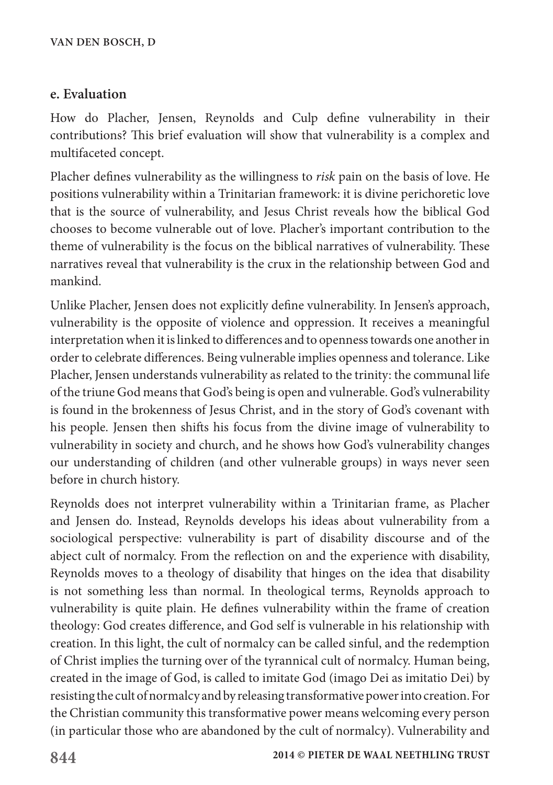#### **e. Evaluation**

How do Placher, Jensen, Reynolds and Culp define vulnerability in their contributions? This brief evaluation will show that vulnerability is a complex and multifaceted concept.

Placher defines vulnerability as the willingness to *risk* pain on the basis of love. He positions vulnerability within a Trinitarian framework: it is divine perichoretic love that is the source of vulnerability, and Jesus Christ reveals how the biblical God chooses to become vulnerable out of love. Placher's important contribution to the theme of vulnerability is the focus on the biblical narratives of vulnerability. These narratives reveal that vulnerability is the crux in the relationship between God and mankind.

Unlike Placher, Jensen does not explicitly define vulnerability. In Jensen's approach, vulnerability is the opposite of violence and oppression. It receives a meaningful interpretation when it is linked to differences and to openness towards one another in order to celebrate differences. Being vulnerable implies openness and tolerance. Like Placher, Jensen understands vulnerability as related to the trinity: the communal life of the triune God means that God's being is open and vulnerable. God's vulnerability is found in the brokenness of Jesus Christ, and in the story of God's covenant with his people. Jensen then shifts his focus from the divine image of vulnerability to vulnerability in society and church, and he shows how God's vulnerability changes our understanding of children (and other vulnerable groups) in ways never seen before in church history.

Reynolds does not interpret vulnerability within a Trinitarian frame, as Placher and Jensen do. Instead, Reynolds develops his ideas about vulnerability from a sociological perspective: vulnerability is part of disability discourse and of the abject cult of normalcy. From the reflection on and the experience with disability, Reynolds moves to a theology of disability that hinges on the idea that disability is not something less than normal. In theological terms, Reynolds approach to vulnerability is quite plain. He defines vulnerability within the frame of creation theology: God creates difference, and God self is vulnerable in his relationship with creation. In this light, the cult of normalcy can be called sinful, and the redemption of Christ implies the turning over of the tyrannical cult of normalcy. Human being, created in the image of God, is called to imitate God (imago Dei as imitatio Dei) by resisting the cult of normalcy and by releasing transformative power into creation. For the Christian community this transformative power means welcoming every person (in particular those who are abandoned by the cult of normalcy). Vulnerability and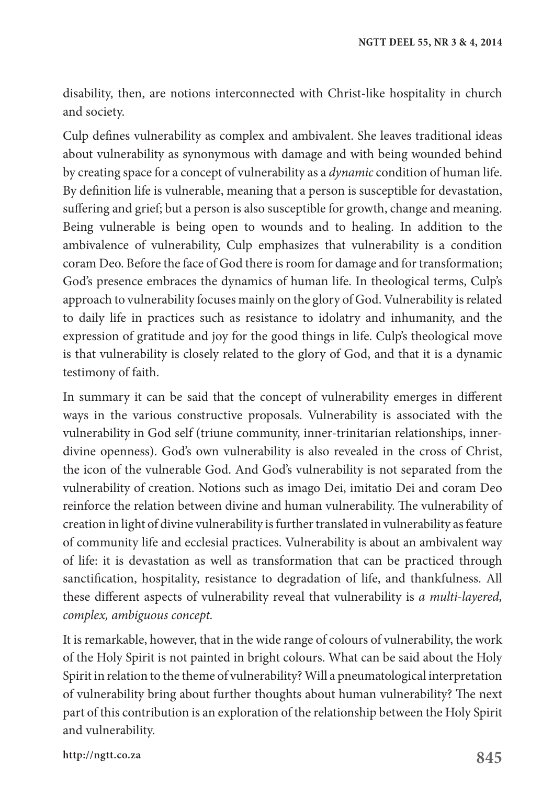disability, then, are notions interconnected with Christ-like hospitality in church and society.

Culp defines vulnerability as complex and ambivalent. She leaves traditional ideas about vulnerability as synonymous with damage and with being wounded behind by creating space for a concept of vulnerability as a *dynamic* condition of human life. By definition life is vulnerable, meaning that a person is susceptible for devastation, suffering and grief; but a person is also susceptible for growth, change and meaning. Being vulnerable is being open to wounds and to healing. In addition to the ambivalence of vulnerability, Culp emphasizes that vulnerability is a condition coram Deo. Before the face of God there is room for damage and for transformation; God's presence embraces the dynamics of human life. In theological terms, Culp's approach to vulnerability focuses mainly on the glory of God. Vulnerability is related to daily life in practices such as resistance to idolatry and inhumanity, and the expression of gratitude and joy for the good things in life. Culp's theological move is that vulnerability is closely related to the glory of God, and that it is a dynamic testimony of faith.

In summary it can be said that the concept of vulnerability emerges in different ways in the various constructive proposals. Vulnerability is associated with the vulnerability in God self (triune community, inner-trinitarian relationships, innerdivine openness). God's own vulnerability is also revealed in the cross of Christ, the icon of the vulnerable God. And God's vulnerability is not separated from the vulnerability of creation. Notions such as imago Dei, imitatio Dei and coram Deo reinforce the relation between divine and human vulnerability. The vulnerability of creation in light of divine vulnerability is further translated in vulnerability as feature of community life and ecclesial practices. Vulnerability is about an ambivalent way of life: it is devastation as well as transformation that can be practiced through sanctification, hospitality, resistance to degradation of life, and thankfulness. All these different aspects of vulnerability reveal that vulnerability is *a multi-layered, complex, ambiguous concept.*

It is remarkable, however, that in the wide range of colours of vulnerability, the work of the Holy Spirit is not painted in bright colours. What can be said about the Holy Spirit in relation to the theme of vulnerability? Will a pneumatological interpretation of vulnerability bring about further thoughts about human vulnerability? The next part of this contribution is an exploration of the relationship between the Holy Spirit and vulnerability.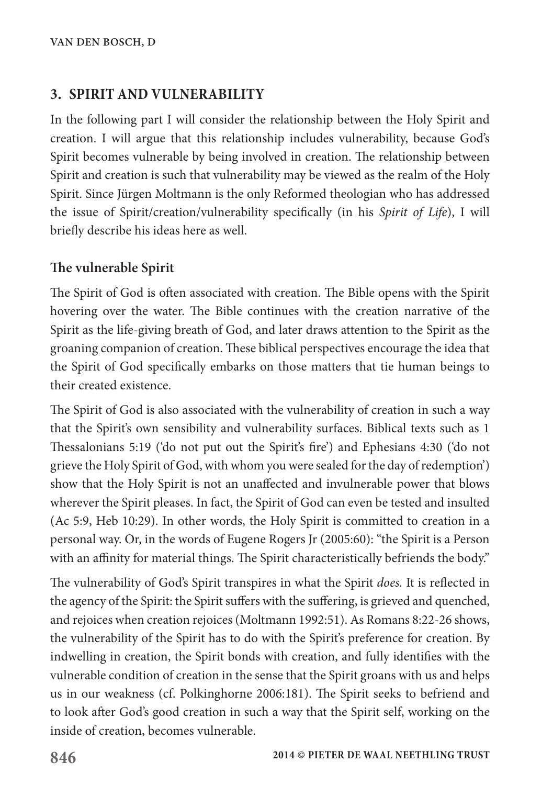# **3. SPIRIT AND VULNERABILITY**

In the following part I will consider the relationship between the Holy Spirit and creation. I will argue that this relationship includes vulnerability, because God's Spirit becomes vulnerable by being involved in creation. The relationship between Spirit and creation is such that vulnerability may be viewed as the realm of the Holy Spirit. Since Jürgen Moltmann is the only Reformed theologian who has addressed the issue of Spirit/creation/vulnerability specifically (in his *Spirit of Life*), I will briefly describe his ideas here as well.

### **The vulnerable Spirit**

The Spirit of God is often associated with creation. The Bible opens with the Spirit hovering over the water. The Bible continues with the creation narrative of the Spirit as the life-giving breath of God, and later draws attention to the Spirit as the groaning companion of creation. These biblical perspectives encourage the idea that the Spirit of God specifically embarks on those matters that tie human beings to their created existence.

The Spirit of God is also associated with the vulnerability of creation in such a way that the Spirit's own sensibility and vulnerability surfaces. Biblical texts such as 1 Thessalonians 5:19 ('do not put out the Spirit's fire') and Ephesians 4:30 ('do not grieve the Holy Spirit of God, with whom you were sealed for the day of redemption') show that the Holy Spirit is not an unaffected and invulnerable power that blows wherever the Spirit pleases. In fact, the Spirit of God can even be tested and insulted (Ac 5:9, Heb 10:29). In other words, the Holy Spirit is committed to creation in a personal way. Or, in the words of Eugene Rogers Jr (2005:60): "the Spirit is a Person with an affinity for material things. The Spirit characteristically befriends the body."

The vulnerability of God's Spirit transpires in what the Spirit *does.* It is reflected in the agency of the Spirit: the Spirit suffers with the suffering, is grieved and quenched, and rejoices when creation rejoices (Moltmann 1992:51). As Romans 8:22-26 shows, the vulnerability of the Spirit has to do with the Spirit's preference for creation. By indwelling in creation, the Spirit bonds with creation, and fully identifies with the vulnerable condition of creation in the sense that the Spirit groans with us and helps us in our weakness (cf. Polkinghorne 2006:181). The Spirit seeks to befriend and to look after God's good creation in such a way that the Spirit self, working on the inside of creation, becomes vulnerable.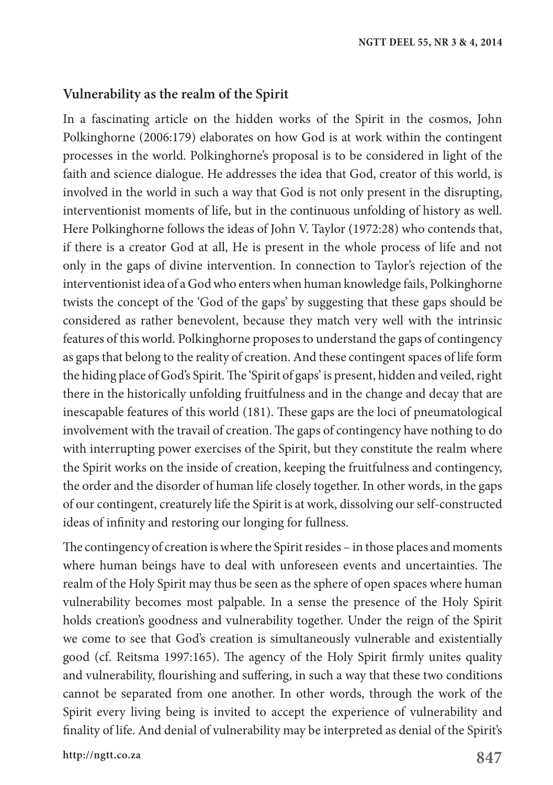#### **Vulnerability as the realm of the Spirit**

In a fascinating article on the hidden works of the Spirit in the cosmos, John Polkinghorne (2006:179) elaborates on how God is at work within the contingent processes in the world. Polkinghorne's proposal is to be considered in light of the faith and science dialogue. He addresses the idea that God, creator of this world, is involved in the world in such a way that God is not only present in the disrupting, interventionist moments of life, but in the continuous unfolding of history as well. Here Polkinghorne follows the ideas of John V. Taylor (1972:28) who contends that, if there is a creator God at all, He is present in the whole process of life and not only in the gaps of divine intervention. In connection to Taylor's rejection of the interventionist idea of a God who enters when human knowledge fails, Polkinghorne twists the concept of the 'God of the gaps' by suggesting that these gaps should be considered as rather benevolent, because they match very well with the intrinsic features of this world. Polkinghorne proposes to understand the gaps of contingency as gaps that belong to the reality of creation. And these contingent spaces of life form the hiding place of God's Spirit. The 'Spirit of gaps' is present, hidden and veiled, right there in the historically unfolding fruitfulness and in the change and decay that are inescapable features of this world (181). These gaps are the loci of pneumatological involvement with the travail of creation. The gaps of contingency have nothing to do with interrupting power exercises of the Spirit, but they constitute the realm where the Spirit works on the inside of creation, keeping the fruitfulness and contingency, the order and the disorder of human life closely together. In other words, in the gaps of our contingent, creaturely life the Spirit is at work, dissolving our self-constructed ideas of infinity and restoring our longing for fullness.

The contingency of creation is where the Spirit resides – in those places and moments where human beings have to deal with unforeseen events and uncertainties. The realm of the Holy Spirit may thus be seen as the sphere of open spaces where human vulnerability becomes most palpable. In a sense the presence of the Holy Spirit holds creation's goodness and vulnerability together. Under the reign of the Spirit we come to see that God's creation is simultaneously vulnerable and existentially good (cf. Reitsma 1997:165). The agency of the Holy Spirit firmly unites quality and vulnerability, flourishing and suffering, in such a way that these two conditions cannot be separated from one another. In other words, through the work of the Spirit every living being is invited to accept the experience of vulnerability and finality of life. And denial of vulnerability may be interpreted as denial of the Spirit's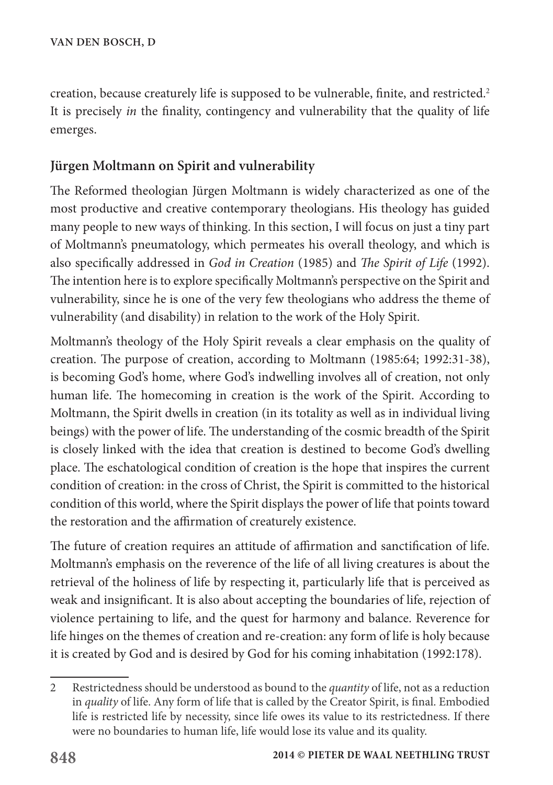creation, because creaturely life is supposed to be vulnerable, finite, and restricted.<sup>2</sup> It is precisely *in* the finality, contingency and vulnerability that the quality of life emerges.

# **Jürgen Moltmann on Spirit and vulnerability**

The Reformed theologian Jürgen Moltmann is widely characterized as one of the most productive and creative contemporary theologians. His theology has guided many people to new ways of thinking. In this section, I will focus on just a tiny part of Moltmann's pneumatology, which permeates his overall theology, and which is also specifically addressed in *God in Creation* (1985) and *The Spirit of Life* (1992). The intention here is to explore specifically Moltmann's perspective on the Spirit and vulnerability, since he is one of the very few theologians who address the theme of vulnerability (and disability) in relation to the work of the Holy Spirit.

Moltmann's theology of the Holy Spirit reveals a clear emphasis on the quality of creation. The purpose of creation, according to Moltmann (1985:64; 1992:31-38), is becoming God's home, where God's indwelling involves all of creation, not only human life. The homecoming in creation is the work of the Spirit. According to Moltmann, the Spirit dwells in creation (in its totality as well as in individual living beings) with the power of life. The understanding of the cosmic breadth of the Spirit is closely linked with the idea that creation is destined to become God's dwelling place. The eschatological condition of creation is the hope that inspires the current condition of creation: in the cross of Christ, the Spirit is committed to the historical condition of this world, where the Spirit displays the power of life that points toward the restoration and the affirmation of creaturely existence.

The future of creation requires an attitude of affirmation and sanctification of life. Moltmann's emphasis on the reverence of the life of all living creatures is about the retrieval of the holiness of life by respecting it, particularly life that is perceived as weak and insignificant. It is also about accepting the boundaries of life, rejection of violence pertaining to life, and the quest for harmony and balance. Reverence for life hinges on the themes of creation and re-creation: any form of life is holy because it is created by God and is desired by God for his coming inhabitation (1992:178).

<sup>2</sup> Restrictedness should be understood as bound to the *quantity* of life, not as a reduction in *quality* of life. Any form of life that is called by the Creator Spirit, is final. Embodied life is restricted life by necessity, since life owes its value to its restrictedness. If there were no boundaries to human life, life would lose its value and its quality.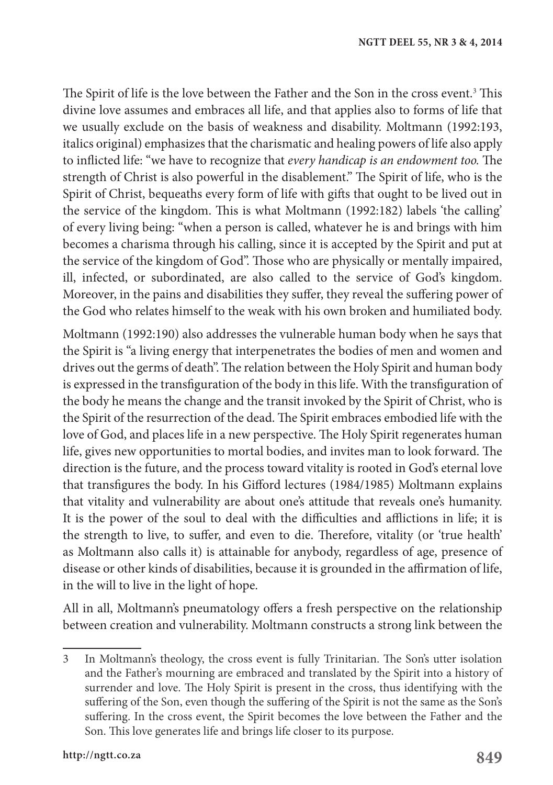The Spirit of life is the love between the Father and the Son in the cross event. $3$  This divine love assumes and embraces all life, and that applies also to forms of life that we usually exclude on the basis of weakness and disability. Moltmann (1992:193, italics original) emphasizes that the charismatic and healing powers of life also apply to inflicted life: "we have to recognize that *every handicap is an endowment too.* The strength of Christ is also powerful in the disablement." The Spirit of life, who is the Spirit of Christ, bequeaths every form of life with gifts that ought to be lived out in the service of the kingdom. This is what Moltmann (1992:182) labels 'the calling' of every living being: "when a person is called, whatever he is and brings with him becomes a charisma through his calling, since it is accepted by the Spirit and put at the service of the kingdom of God". Those who are physically or mentally impaired, ill, infected, or subordinated, are also called to the service of God's kingdom. Moreover, in the pains and disabilities they suffer, they reveal the suffering power of the God who relates himself to the weak with his own broken and humiliated body.

Moltmann (1992:190) also addresses the vulnerable human body when he says that the Spirit is "a living energy that interpenetrates the bodies of men and women and drives out the germs of death". The relation between the Holy Spirit and human body is expressed in the transfiguration of the body in this life. With the transfiguration of the body he means the change and the transit invoked by the Spirit of Christ, who is the Spirit of the resurrection of the dead. The Spirit embraces embodied life with the love of God, and places life in a new perspective. The Holy Spirit regenerates human life, gives new opportunities to mortal bodies, and invites man to look forward. The direction is the future, and the process toward vitality is rooted in God's eternal love that transfigures the body. In his Gifford lectures (1984/1985) Moltmann explains that vitality and vulnerability are about one's attitude that reveals one's humanity. It is the power of the soul to deal with the difficulties and afflictions in life; it is the strength to live, to suffer, and even to die. Therefore, vitality (or 'true health' as Moltmann also calls it) is attainable for anybody, regardless of age, presence of disease or other kinds of disabilities, because it is grounded in the affirmation of life, in the will to live in the light of hope.

All in all, Moltmann's pneumatology offers a fresh perspective on the relationship between creation and vulnerability. Moltmann constructs a strong link between the

<sup>3</sup> In Moltmann's theology, the cross event is fully Trinitarian. The Son's utter isolation and the Father's mourning are embraced and translated by the Spirit into a history of surrender and love. The Holy Spirit is present in the cross, thus identifying with the suffering of the Son, even though the suffering of the Spirit is not the same as the Son's suffering. In the cross event, the Spirit becomes the love between the Father and the Son. This love generates life and brings life closer to its purpose.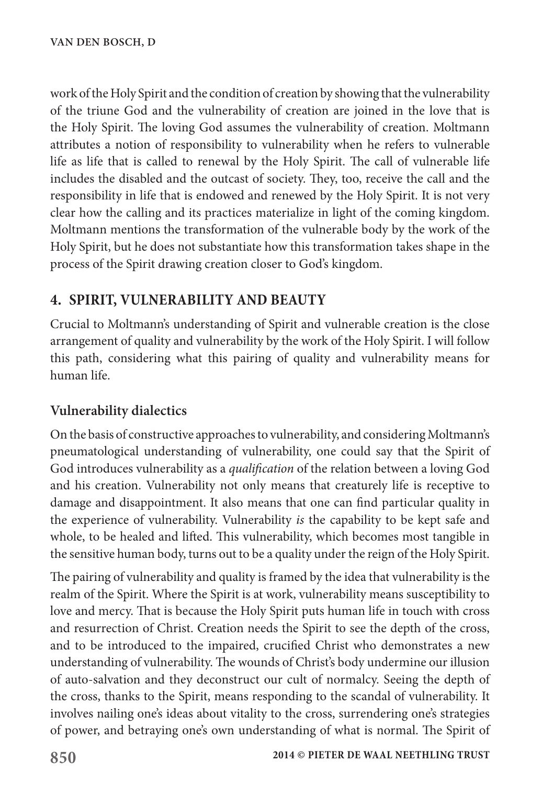work of the Holy Spirit and the condition of creation by showing that the vulnerability of the triune God and the vulnerability of creation are joined in the love that is the Holy Spirit. The loving God assumes the vulnerability of creation. Moltmann attributes a notion of responsibility to vulnerability when he refers to vulnerable life as life that is called to renewal by the Holy Spirit. The call of vulnerable life includes the disabled and the outcast of society. They, too, receive the call and the responsibility in life that is endowed and renewed by the Holy Spirit. It is not very clear how the calling and its practices materialize in light of the coming kingdom. Moltmann mentions the transformation of the vulnerable body by the work of the Holy Spirit, but he does not substantiate how this transformation takes shape in the process of the Spirit drawing creation closer to God's kingdom.

# **4. SPIRIT, VULNERABILITY AND BEAUTY**

Crucial to Moltmann's understanding of Spirit and vulnerable creation is the close arrangement of quality and vulnerability by the work of the Holy Spirit. I will follow this path, considering what this pairing of quality and vulnerability means for human life.

#### **Vulnerability dialectics**

On the basis of constructive approaches to vulnerability, and considering Moltmann's pneumatological understanding of vulnerability, one could say that the Spirit of God introduces vulnerability as a *qualification* of the relation between a loving God and his creation. Vulnerability not only means that creaturely life is receptive to damage and disappointment. It also means that one can find particular quality in the experience of vulnerability. Vulnerability *is* the capability to be kept safe and whole, to be healed and lifted. This vulnerability, which becomes most tangible in the sensitive human body, turns out to be a quality under the reign of the Holy Spirit.

The pairing of vulnerability and quality is framed by the idea that vulnerability is the realm of the Spirit. Where the Spirit is at work, vulnerability means susceptibility to love and mercy. That is because the Holy Spirit puts human life in touch with cross and resurrection of Christ. Creation needs the Spirit to see the depth of the cross, and to be introduced to the impaired, crucified Christ who demonstrates a new understanding of vulnerability. The wounds of Christ's body undermine our illusion of auto-salvation and they deconstruct our cult of normalcy. Seeing the depth of the cross, thanks to the Spirit, means responding to the scandal of vulnerability. It involves nailing one's ideas about vitality to the cross, surrendering one's strategies of power, and betraying one's own understanding of what is normal. The Spirit of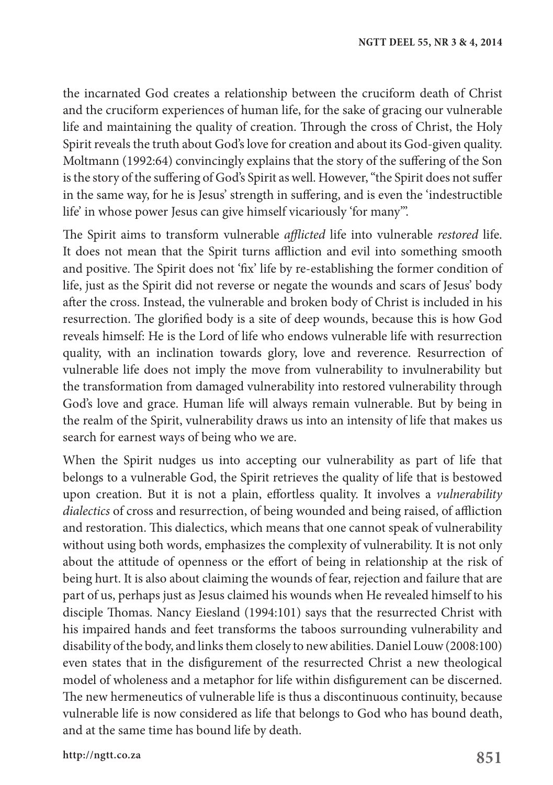the incarnated God creates a relationship between the cruciform death of Christ and the cruciform experiences of human life, for the sake of gracing our vulnerable life and maintaining the quality of creation. Through the cross of Christ, the Holy Spirit reveals the truth about God's love for creation and about its God-given quality. Moltmann (1992:64) convincingly explains that the story of the suffering of the Son is the story of the suffering of God's Spirit as well. However, "the Spirit does not suffer in the same way, for he is Jesus' strength in suffering, and is even the 'indestructible life' in whose power Jesus can give himself vicariously 'for many'".

The Spirit aims to transform vulnerable *afflicted* life into vulnerable *restored* life. It does not mean that the Spirit turns affliction and evil into something smooth and positive. The Spirit does not 'fix' life by re-establishing the former condition of life, just as the Spirit did not reverse or negate the wounds and scars of Jesus' body after the cross. Instead, the vulnerable and broken body of Christ is included in his resurrection. The glorified body is a site of deep wounds, because this is how God reveals himself: He is the Lord of life who endows vulnerable life with resurrection quality, with an inclination towards glory, love and reverence. Resurrection of vulnerable life does not imply the move from vulnerability to invulnerability but the transformation from damaged vulnerability into restored vulnerability through God's love and grace. Human life will always remain vulnerable. But by being in the realm of the Spirit, vulnerability draws us into an intensity of life that makes us search for earnest ways of being who we are.

When the Spirit nudges us into accepting our vulnerability as part of life that belongs to a vulnerable God, the Spirit retrieves the quality of life that is bestowed upon creation. But it is not a plain, effortless quality. It involves a *vulnerability dialectics* of cross and resurrection, of being wounded and being raised, of affliction and restoration. This dialectics, which means that one cannot speak of vulnerability without using both words, emphasizes the complexity of vulnerability. It is not only about the attitude of openness or the effort of being in relationship at the risk of being hurt. It is also about claiming the wounds of fear, rejection and failure that are part of us, perhaps just as Jesus claimed his wounds when He revealed himself to his disciple Thomas. Nancy Eiesland (1994:101) says that the resurrected Christ with his impaired hands and feet transforms the taboos surrounding vulnerability and disability of the body, and links them closely to new abilities. Daniel Louw (2008:100) even states that in the disfigurement of the resurrected Christ a new theological model of wholeness and a metaphor for life within disfigurement can be discerned. The new hermeneutics of vulnerable life is thus a discontinuous continuity, because vulnerable life is now considered as life that belongs to God who has bound death, and at the same time has bound life by death.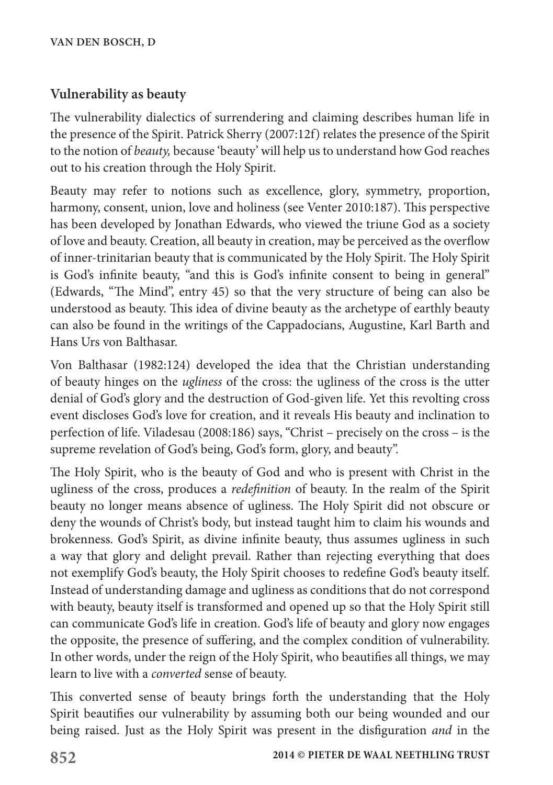### **Vulnerability as beauty**

The vulnerability dialectics of surrendering and claiming describes human life in the presence of the Spirit. Patrick Sherry (2007:12f) relates the presence of the Spirit to the notion of *beauty,* because 'beauty' will help us to understand how God reaches out to his creation through the Holy Spirit.

Beauty may refer to notions such as excellence, glory, symmetry, proportion, harmony, consent, union, love and holiness (see Venter 2010:187). This perspective has been developed by Jonathan Edwards, who viewed the triune God as a society of love and beauty. Creation, all beauty in creation, may be perceived as the overflow of inner-trinitarian beauty that is communicated by the Holy Spirit. The Holy Spirit is God's infinite beauty, "and this is God's infinite consent to being in general" (Edwards, "The Mind", entry 45) so that the very structure of being can also be understood as beauty. This idea of divine beauty as the archetype of earthly beauty can also be found in the writings of the Cappadocians, Augustine, Karl Barth and Hans Urs von Balthasar.

Von Balthasar (1982:124) developed the idea that the Christian understanding of beauty hinges on the *ugliness* of the cross: the ugliness of the cross is the utter denial of God's glory and the destruction of God-given life. Yet this revolting cross event discloses God's love for creation, and it reveals His beauty and inclination to perfection of life. Viladesau (2008:186) says, "Christ – precisely on the cross – is the supreme revelation of God's being, God's form, glory, and beauty".

The Holy Spirit, who is the beauty of God and who is present with Christ in the ugliness of the cross, produces a *redefinition* of beauty. In the realm of the Spirit beauty no longer means absence of ugliness. The Holy Spirit did not obscure or deny the wounds of Christ's body, but instead taught him to claim his wounds and brokenness. God's Spirit, as divine infinite beauty, thus assumes ugliness in such a way that glory and delight prevail. Rather than rejecting everything that does not exemplify God's beauty, the Holy Spirit chooses to redefine God's beauty itself. Instead of understanding damage and ugliness as conditions that do not correspond with beauty, beauty itself is transformed and opened up so that the Holy Spirit still can communicate God's life in creation. God's life of beauty and glory now engages the opposite, the presence of suffering, and the complex condition of vulnerability. In other words, under the reign of the Holy Spirit, who beautifies all things, we may learn to live with a *converted* sense of beauty.

This converted sense of beauty brings forth the understanding that the Holy Spirit beautifies our vulnerability by assuming both our being wounded and our being raised. Just as the Holy Spirit was present in the disfiguration *and* in the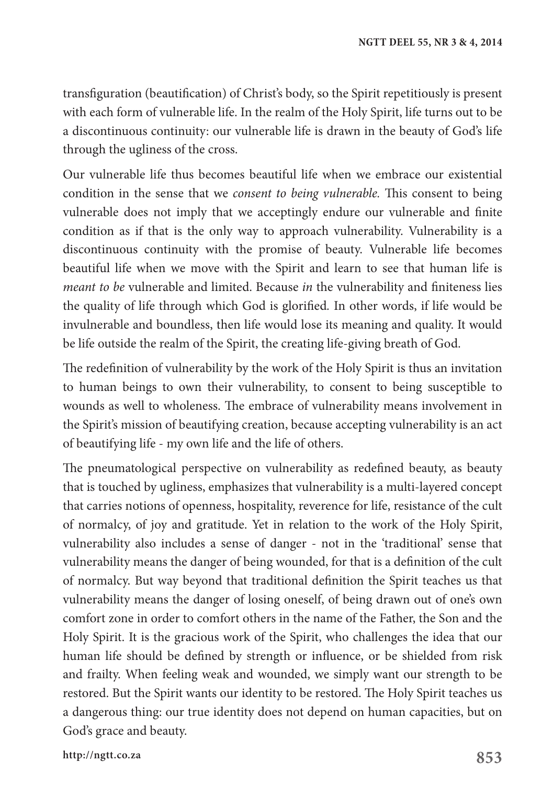transfiguration (beautification) of Christ's body, so the Spirit repetitiously is present with each form of vulnerable life. In the realm of the Holy Spirit, life turns out to be a discontinuous continuity: our vulnerable life is drawn in the beauty of God's life through the ugliness of the cross.

Our vulnerable life thus becomes beautiful life when we embrace our existential condition in the sense that we *consent to being vulnerable.* This consent to being vulnerable does not imply that we acceptingly endure our vulnerable and finite condition as if that is the only way to approach vulnerability. Vulnerability is a discontinuous continuity with the promise of beauty. Vulnerable life becomes beautiful life when we move with the Spirit and learn to see that human life is *meant to be* vulnerable and limited. Because *in* the vulnerability and finiteness lies the quality of life through which God is glorified*.* In other words, if life would be invulnerable and boundless, then life would lose its meaning and quality. It would be life outside the realm of the Spirit, the creating life-giving breath of God.

The redefinition of vulnerability by the work of the Holy Spirit is thus an invitation to human beings to own their vulnerability, to consent to being susceptible to wounds as well to wholeness. The embrace of vulnerability means involvement in the Spirit's mission of beautifying creation, because accepting vulnerability is an act of beautifying life - my own life and the life of others.

The pneumatological perspective on vulnerability as redefined beauty, as beauty that is touched by ugliness, emphasizes that vulnerability is a multi-layered concept that carries notions of openness, hospitality, reverence for life, resistance of the cult of normalcy, of joy and gratitude. Yet in relation to the work of the Holy Spirit, vulnerability also includes a sense of danger - not in the 'traditional' sense that vulnerability means the danger of being wounded, for that is a definition of the cult of normalcy. But way beyond that traditional definition the Spirit teaches us that vulnerability means the danger of losing oneself, of being drawn out of one's own comfort zone in order to comfort others in the name of the Father, the Son and the Holy Spirit. It is the gracious work of the Spirit, who challenges the idea that our human life should be defined by strength or influence, or be shielded from risk and frailty. When feeling weak and wounded, we simply want our strength to be restored. But the Spirit wants our identity to be restored. The Holy Spirit teaches us a dangerous thing: our true identity does not depend on human capacities, but on God's grace and beauty.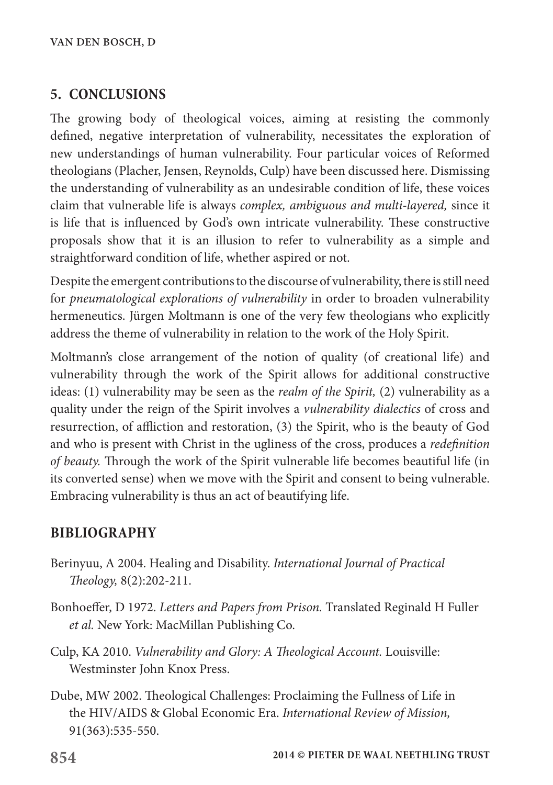## **5. CONCLUSIONS**

The growing body of theological voices, aiming at resisting the commonly defined, negative interpretation of vulnerability, necessitates the exploration of new understandings of human vulnerability. Four particular voices of Reformed theologians (Placher, Jensen, Reynolds, Culp) have been discussed here. Dismissing the understanding of vulnerability as an undesirable condition of life, these voices claim that vulnerable life is always *complex, ambiguous and multi-layered,* since it is life that is influenced by God's own intricate vulnerability. These constructive proposals show that it is an illusion to refer to vulnerability as a simple and straightforward condition of life, whether aspired or not.

Despite the emergent contributions to the discourse of vulnerability, there is still need for *pneumatological explorations of vulnerability* in order to broaden vulnerability hermeneutics. Jürgen Moltmann is one of the very few theologians who explicitly address the theme of vulnerability in relation to the work of the Holy Spirit.

Moltmann's close arrangement of the notion of quality (of creational life) and vulnerability through the work of the Spirit allows for additional constructive ideas: (1) vulnerability may be seen as the *realm of the Spirit,* (2) vulnerability as a quality under the reign of the Spirit involves a *vulnerability dialectics* of cross and resurrection, of affliction and restoration, (3) the Spirit, who is the beauty of God and who is present with Christ in the ugliness of the cross, produces a *redefinition of beauty.* Through the work of the Spirit vulnerable life becomes beautiful life (in its converted sense) when we move with the Spirit and consent to being vulnerable. Embracing vulnerability is thus an act of beautifying life.

# **BIBLIOGRAPHY**

- Berinyuu, A 2004. Healing and Disability. *International Journal of Practical Theology,* 8(2):202-211.
- Bonhoeffer, D 1972. *Letters and Papers from Prison.* Translated Reginald H Fuller *et al.* New York: MacMillan Publishing Co.
- Culp, KA 2010. *Vulnerability and Glory: A Theological Account.* Louisville: Westminster John Knox Press.
- Dube, MW 2002. Theological Challenges: Proclaiming the Fullness of Life in the HIV/AIDS & Global Economic Era. *International Review of Mission,* 91(363):535-550.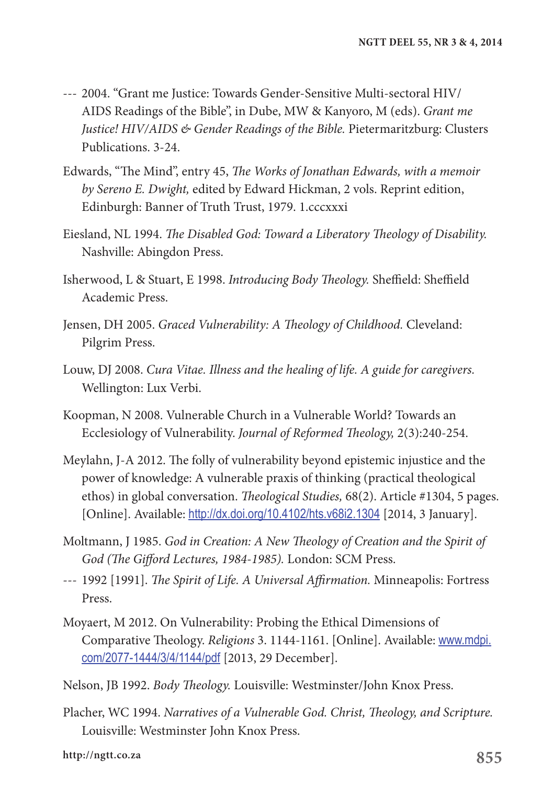- --- 2004. "Grant me Justice: Towards Gender-Sensitive Multi-sectoral HIV/ AIDS Readings of the Bible", in Dube, MW & Kanyoro, M (eds). *Grant me Justice! HIV/AIDS & Gender Readings of the Bible.* Pietermaritzburg: Clusters Publications. 3-24.
- Edwards, "The Mind", entry 45, *The Works of Jonathan Edwards, with a memoir by Sereno E. Dwight,* edited by Edward Hickman, 2 vols. Reprint edition, Edinburgh: Banner of Truth Trust, 1979. 1.cccxxxi
- Eiesland, NL 1994. *The Disabled God: Toward a Liberatory Theology of Disability.* Nashville: Abingdon Press.
- Isherwood, L & Stuart, E 1998. *Introducing Body Theology.* Sheffield: Sheffield Academic Press.
- Jensen, DH 2005. *Graced Vulnerability: A Theology of Childhood.* Cleveland: Pilgrim Press.
- Louw, DJ 2008. *Cura Vitae. Illness and the healing of life. A guide for caregivers.* Wellington: Lux Verbi.
- Koopman, N 2008. Vulnerable Church in a Vulnerable World? Towards an Ecclesiology of Vulnerability. *Journal of Reformed Theology,* 2(3):240-254.
- Meylahn, J-A 2012. The folly of vulnerability beyond epistemic injustice and the power of knowledge: A vulnerable praxis of thinking (practical theological ethos) in global conversation. *Theological Studies,* 68(2). Article #1304, 5 pages. [Online]. Available: http://dx.doi.org/10.4102/hts.v68i2.1304 [2014, 3 January].
- Moltmann, J 1985. *God in Creation: A New Theology of Creation and the Spirit of God (The Gifford Lectures, 1984-1985).* London: SCM Press.
- --- 1992 [1991]. *The Spirit of Life. A Universal Affirmation.* Minneapolis: Fortress Press.
- Moyaert, M 2012. On Vulnerability: Probing the Ethical Dimensions of Comparative Theology. *Religions* 3. 1144-1161. [Online]. Available: www.mdpi. com/2077-1444/3/4/1144/pdf [2013, 29 December].
- Nelson, JB 1992. *Body Theology.* Louisville: Westminster/John Knox Press.
- Placher, WC 1994. *Narratives of a Vulnerable God. Christ, Theology, and Scripture.* Louisville: Westminster John Knox Press.

**855 http://ngtt.co.za**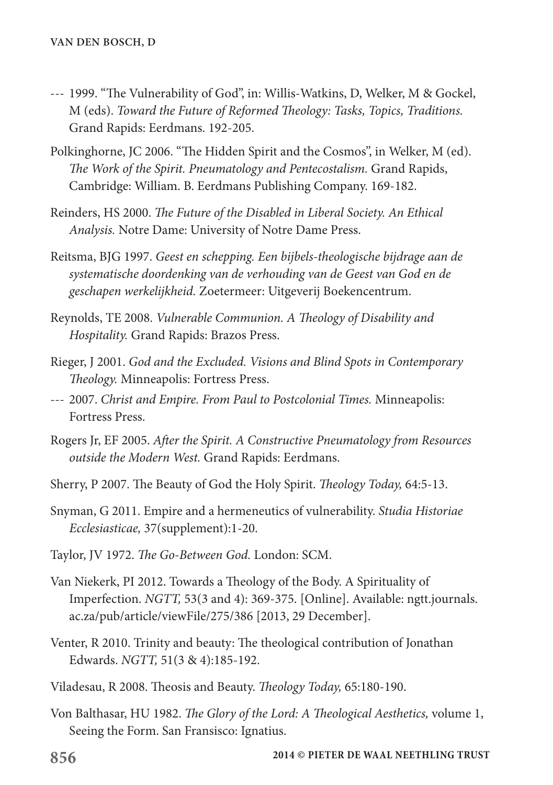- --- 1999. "The Vulnerability of God", in: Willis-Watkins, D, Welker, M & Gockel, M (eds). *Toward the Future of Reformed Theology: Tasks, Topics, Traditions.* Grand Rapids: Eerdmans. 192-205.
- Polkinghorne, JC 2006. "The Hidden Spirit and the Cosmos", in Welker, M (ed). *The Work of the Spirit. Pneumatology and Pentecostalism.* Grand Rapids, Cambridge: William. B. Eerdmans Publishing Company. 169-182.
- Reinders, HS 2000. *The Future of the Disabled in Liberal Society. An Ethical Analysis.* Notre Dame: University of Notre Dame Press.
- Reitsma, BJG 1997. *Geest en schepping. Een bijbels-theologische bijdrage aan de systematische doordenking van de verhouding van de Geest van God en de geschapen werkelijkheid.* Zoetermeer: Uitgeverij Boekencentrum.
- Reynolds, TE 2008. *Vulnerable Communion. A Theology of Disability and Hospitality.* Grand Rapids: Brazos Press.
- Rieger, J 2001. *God and the Excluded. Visions and Blind Spots in Contemporary Theology.* Minneapolis: Fortress Press.
- --- 2007. *Christ and Empire. From Paul to Postcolonial Times.* Minneapolis: Fortress Press.
- Rogers Jr, EF 2005. *After the Spirit. A Constructive Pneumatology from Resources outside the Modern West.* Grand Rapids: Eerdmans.
- Sherry, P 2007. The Beauty of God the Holy Spirit. *Theology Today,* 64:5-13.
- Snyman, G 2011. Empire and a hermeneutics of vulnerability. *Studia Historiae Ecclesiasticae,* 37(supplement):1-20.
- Taylor, JV 1972. *The Go-Between God.* London: SCM.
- Van Niekerk, PI 2012. Towards a Theology of the Body. A Spirituality of Imperfection. *NGTT,* 53(3 and 4): 369-375. [Online]. Available: ngtt.journals. ac.za/pub/article/viewFile/275/386 [2013, 29 December].
- Venter, R 2010. Trinity and beauty: The theological contribution of Jonathan Edwards. *NGTT,* 51(3 & 4):185-192.
- Viladesau, R 2008. Theosis and Beauty. *Theology Today,* 65:180-190.
- Von Balthasar, HU 1982. *The Glory of the Lord: A Theological Aesthetics,* volume 1, Seeing the Form. San Fransisco: Ignatius.